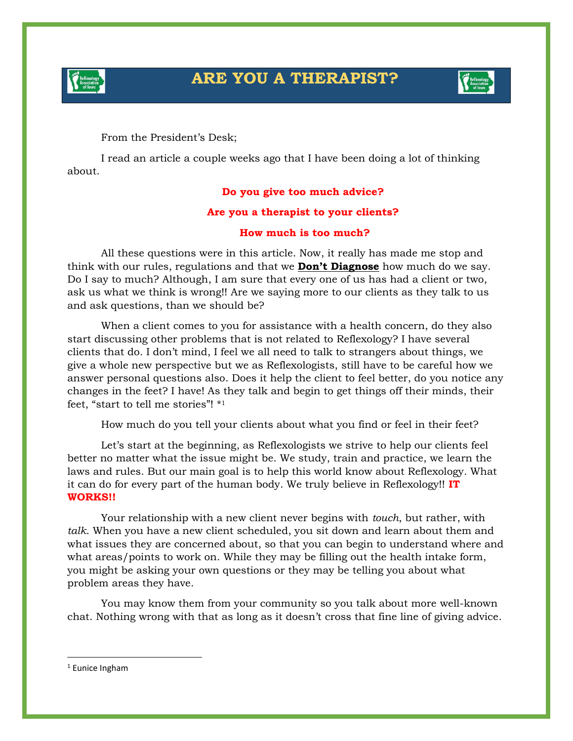



From the President's Desk;

I read an article a couple weeks ago that I have been doing a lot of thinking about.

## **Do you give too much advice?**

## **Are you a therapist to your clients?**

## **How much is too much?**

All these questions were in this article. Now, it really has made me stop and think with our rules, regulations and that we **Don't Diagnose** how much do we say. Do I say to much? Although, I am sure that every one of us has had a client or two, ask us what we think is wrong!! Are we saying more to our clients as they talk to us and ask questions, than we should be?

When a client comes to you for assistance with a health concern, do they also start discussing other problems that is not related to Reflexology? I have several clients that do. I don't mind, I feel we all need to talk to strangers about things, we give a whole new perspective but we as Reflexologists, still have to be careful how we answer personal questions also. Does it help the client to feel better, do you notice any changes in the feet? I have! As they talk and begin to get things off their minds, their feet, "start to tell me stories"! \* 1

How much do you tell your clients about what you find or feel in their feet?

Let's start at the beginning, as Reflexologists we strive to help our clients feel better no matter what the issue might be. We study, train and practice, we learn the laws and rules. But our main goal is to help this world know about Reflexology. What it can do for every part of the human body. We truly believe in Reflexology!! **IT WORKS!!**

Your relationship with a new client never begins with *touch*, but rather, with *talk*. When you have a new client scheduled, you sit down and learn about them and what issues they are concerned about, so that you can begin to understand where and what areas/points to work on. While they may be filling out the health intake form, you might be asking your own questions or they may be telling you about what problem areas they have.

You may know them from your community so you talk about more well-known chat. Nothing wrong with that as long as it doesn't cross that fine line of giving advice.

<sup>1</sup> Eunice Ingham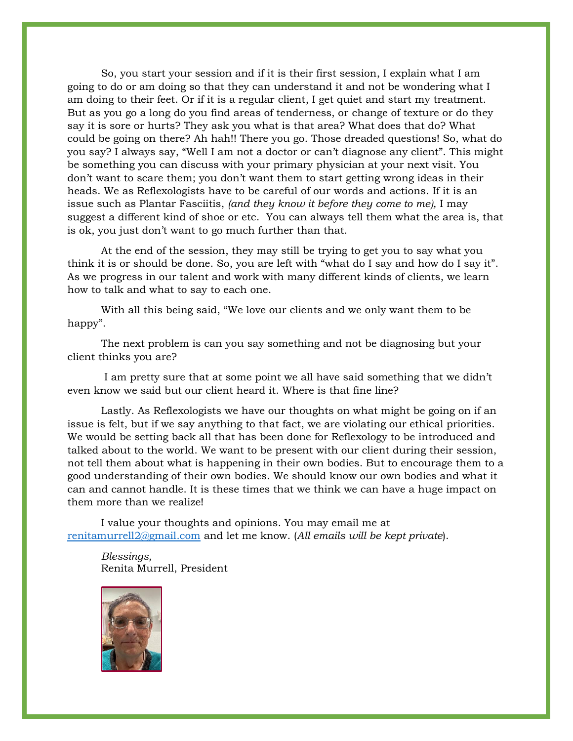So, you start your session and if it is their first session, I explain what I am going to do or am doing so that they can understand it and not be wondering what I am doing to their feet. Or if it is a regular client, I get quiet and start my treatment. But as you go a long do you find areas of tenderness, or change of texture or do they say it is sore or hurts? They ask you what is that area? What does that do? What could be going on there? Ah hah!! There you go. Those dreaded questions! So, what do you say? I always say, "Well I am not a doctor or can't diagnose any client". This might be something you can discuss with your primary physician at your next visit. You don't want to scare them; you don't want them to start getting wrong ideas in their heads. We as Reflexologists have to be careful of our words and actions. If it is an issue such as Plantar Fasciitis, *(and they know it before they come to me),* I may suggest a different kind of shoe or etc. You can always tell them what the area is, that is ok, you just don't want to go much further than that.

At the end of the session, they may still be trying to get you to say what you think it is or should be done. So, you are left with "what do I say and how do I say it". As we progress in our talent and work with many different kinds of clients, we learn how to talk and what to say to each one.

With all this being said, "We love our clients and we only want them to be happy".

The next problem is can you say something and not be diagnosing but your client thinks you are?

I am pretty sure that at some point we all have said something that we didn't even know we said but our client heard it. Where is that fine line?

Lastly. As Reflexologists we have our thoughts on what might be going on if an issue is felt, but if we say anything to that fact, we are violating our ethical priorities. We would be setting back all that has been done for Reflexology to be introduced and talked about to the world. We want to be present with our client during their session, not tell them about what is happening in their own bodies. But to encourage them to a good understanding of their own bodies. We should know our own bodies and what it can and cannot handle. It is these times that we think we can have a huge impact on them more than we realize!

I value your thoughts and opinions. You may email me at [renitamurrell2@gmail.com](mailto:renitamurrell2@gmail.com) and let me know. (*All emails will be kept private*).

*Blessings,* Renita Murrell, President